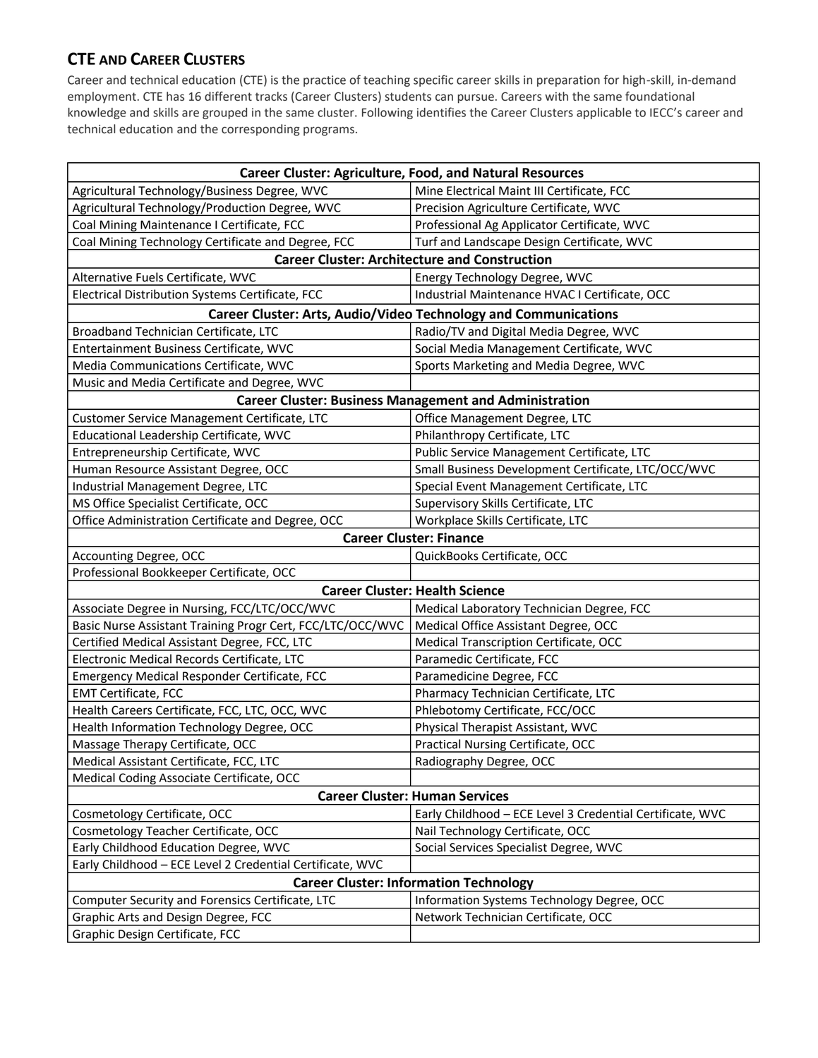## **CTE AND CAREER CLUSTERS**

Career and technical education (CTE) is the practice of teaching specific career skills in preparation for high-skill, in-demand employment. CTE has 16 different tracks (Career Clusters) students can pursue. Careers with the same foundational knowledge and skills are grouped in the same cluster. Following identifies the Career Clusters applicable to IECC's career and technical education and the corresponding programs.

| <b>Career Cluster: Agriculture, Food, and Natural Resources</b> |                                                               |
|-----------------------------------------------------------------|---------------------------------------------------------------|
| Agricultural Technology/Business Degree, WVC                    | Mine Electrical Maint III Certificate, FCC                    |
| Agricultural Technology/Production Degree, WVC                  | Precision Agriculture Certificate, WVC                        |
| Coal Mining Maintenance I Certificate, FCC                      | Professional Ag Applicator Certificate, WVC                   |
| Coal Mining Technology Certificate and Degree, FCC              | Turf and Landscape Design Certificate, WVC                    |
| <b>Career Cluster: Architecture and Construction</b>            |                                                               |
| Alternative Fuels Certificate, WVC                              | Energy Technology Degree, WVC                                 |
| Electrical Distribution Systems Certificate, FCC                | Industrial Maintenance HVAC I Certificate, OCC                |
| Career Cluster: Arts, Audio/Video Technology and Communications |                                                               |
| Broadband Technician Certificate, LTC                           | Radio/TV and Digital Media Degree, WVC                        |
| Entertainment Business Certificate, WVC                         | Social Media Management Certificate, WVC                      |
| Media Communications Certificate, WVC                           | Sports Marketing and Media Degree, WVC                        |
| Music and Media Certificate and Degree, WVC                     |                                                               |
|                                                                 | <b>Career Cluster: Business Management and Administration</b> |
| Customer Service Management Certificate, LTC                    | Office Management Degree, LTC                                 |
| Educational Leadership Certificate, WVC                         | Philanthropy Certificate, LTC                                 |
| Entrepreneurship Certificate, WVC                               | Public Service Management Certificate, LTC                    |
| Human Resource Assistant Degree, OCC                            | Small Business Development Certificate, LTC/OCC/WVC           |
| Industrial Management Degree, LTC                               | Special Event Management Certificate, LTC                     |
| MS Office Specialist Certificate, OCC                           | Supervisory Skills Certificate, LTC                           |
| Office Administration Certificate and Degree, OCC               | Workplace Skills Certificate, LTC                             |
| <b>Career Cluster: Finance</b>                                  |                                                               |
| Accounting Degree, OCC                                          | QuickBooks Certificate, OCC                                   |
| Professional Bookkeeper Certificate, OCC                        |                                                               |
| <b>Career Cluster: Health Science</b>                           |                                                               |
| Associate Degree in Nursing, FCC/LTC/OCC/WVC                    | Medical Laboratory Technician Degree, FCC                     |
| Basic Nurse Assistant Training Progr Cert, FCC/LTC/OCC/WVC      | Medical Office Assistant Degree, OCC                          |
| Certified Medical Assistant Degree, FCC, LTC                    | Medical Transcription Certificate, OCC                        |
| Electronic Medical Records Certificate, LTC                     | Paramedic Certificate, FCC                                    |
| Emergency Medical Responder Certificate, FCC                    | Paramedicine Degree, FCC                                      |
| <b>EMT Certificate, FCC</b>                                     | Pharmacy Technician Certificate, LTC                          |
| Health Careers Certificate, FCC, LTC, OCC, WVC                  | Phlebotomy Certificate, FCC/OCC                               |
| Health Information Technology Degree, OCC                       | Physical Therapist Assistant, WVC                             |
| Massage Therapy Certificate, OCC                                | Practical Nursing Certificate, OCC                            |
| Medical Assistant Certificate, FCC, LTC                         | Radiography Degree, OCC                                       |
| Medical Coding Associate Certificate, OCC                       |                                                               |
| <b>Career Cluster: Human Services</b>                           |                                                               |
| Cosmetology Certificate, OCC                                    | Early Childhood - ECE Level 3 Credential Certificate, WVC     |
| Cosmetology Teacher Certificate, OCC                            | Nail Technology Certificate, OCC                              |
| Early Childhood Education Degree, WVC                           | Social Services Specialist Degree, WVC                        |
| Early Childhood - ECE Level 2 Credential Certificate, WVC       |                                                               |
| <b>Career Cluster: Information Technology</b>                   |                                                               |
| Computer Security and Forensics Certificate, LTC                | Information Systems Technology Degree, OCC                    |
| Graphic Arts and Design Degree, FCC                             | Network Technician Certificate, OCC                           |
| Graphic Design Certificate, FCC                                 |                                                               |